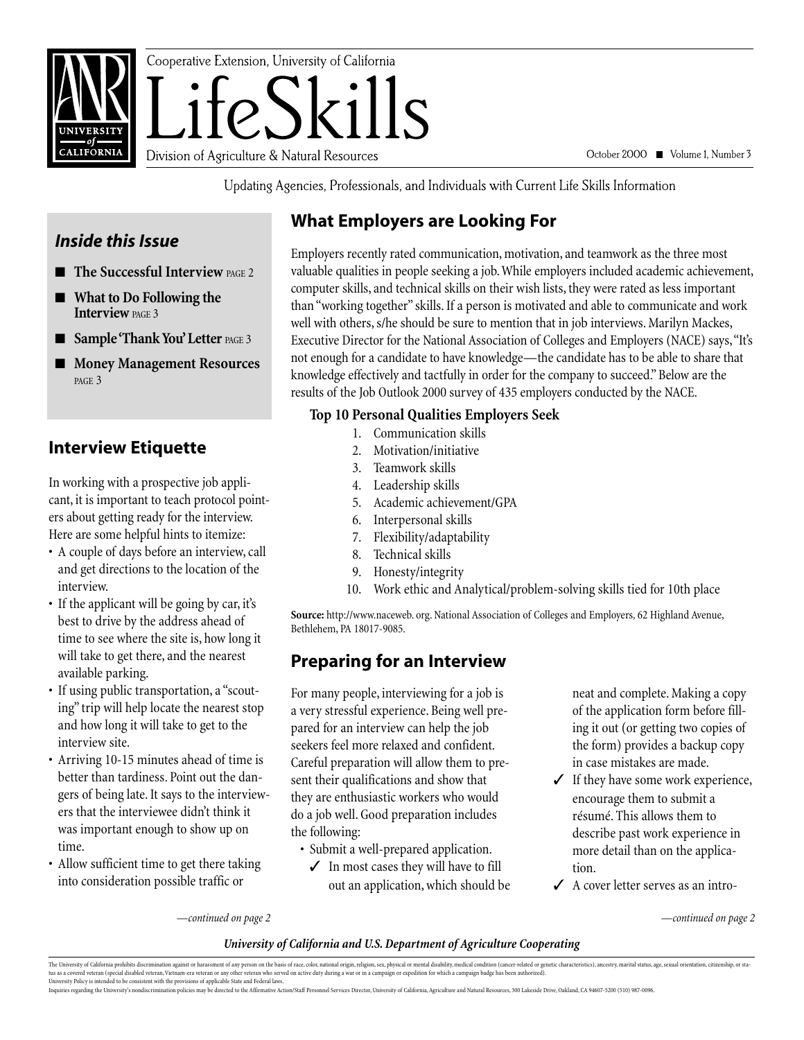

October 2000 ■ Volume 1, Number 3

Updating Agencies, Professionals, and Individuals with Current Life Skills Information

## **What Employers are Looking For**

# *Inside this Issue*

- **The Successful Interview PAGE 2**
- **What to Do Following the Interview PAGE 3**
- **Sample 'Thank You' Letter** PAGE 3
- **Money Management Resources** PAGE 3

## **Interview Etiquette**

In working with a prospective job applicant, it is important to teach protocol pointers about getting ready for the interview. Here are some helpful hints to itemize:

- A couple of days before an interview, call and get directions to the location of the interview.
- If the applicant will be going by car, it's best to drive by the address ahead of time to see where the site is, how long it will take to get there, and the nearest available parking.
- If using public transportation, a "scouting" trip will help locate the nearest stop and how long it will take to get to the interview site.
- Arriving 10-15 minutes ahead of time is better than tardiness. Point out the dangers of being late. It says to the interviewers that the interviewee didn't think it was important enough to show up on time.
- Allow sufficient time to get there taking into consideration possible traffic or

Employers recently rated communication, motivation, and teamwork as the three most valuable qualities in people seeking a job. While employers included academic achievement, computer skills, and technical skills on their wish lists, they were rated as less important than "working together" skills. If a person is motivated and able to communicate and work well with others, s/he should be sure to mention that in job interviews. Marilyn Mackes, Executive Director for the National Association of Colleges and Employers (NACE) says,"It's not enough for a candidate to have knowledge—the candidate has to be able to share that knowledge effectively and tactfully in order for the company to succeed." Below are the results of the Job Outlook 2000 survey of 435 employers conducted by the NACE.

#### **Top 10 Personal Qualities Employers Seek**

- 1. Communication skills
- 2. Motivation/initiative
- 3. Teamwork skills
- 4. Leadership skills
- 5. Academic achievement/GPA
- 6. Interpersonal skills
- 7. Flexibility/adaptability
- 8. Technical skills
- 9. Honesty/integrity
- 10. Work ethic and Analytical/problem-solving skills tied for 10th place

**Source:** http://www.naceweb. org. National Association of Colleges and Employers*,* 62 Highland Avenue, Bethlehem, PA 18017-9085.

## **Preparing for an Interview**

For many people, interviewing for a job is a very stressful experience. Being well prepared for an interview can help the job seekers feel more relaxed and confident. Careful preparation will allow them to present their qualifications and show that they are enthusiastic workers who would do a job well. Good preparation includes the following:

- Submit a well-prepared application.
	- ✓ In most cases they will have to fill out an application, which should be

neat and complete. Making a copy of the application form before filling it out (or getting two copies of the form) provides a backup copy in case mistakes are made.

- ✓ If they have some work experience, encourage them to submit a résumé. This allows them to describe past work experience in more detail than on the application.
- ✓ A cover letter serves as an intro-

*—continued on page 2 —continued on page 2*

#### *University of California and U.S. Department of Agriculture Cooperating*

The University of California prohibits discrimination against or harassment of any person on the basis of race, color, national origin, religion, sex, physical or mental disability, medical condition (enter-related or gene

Inquiries regarding the University's nondiscrimination policies may be directed to the Affirmative Action/Staff Personnel Services Director, University of California, Agriculture and Natural Resources, 300 Lakeside Drive,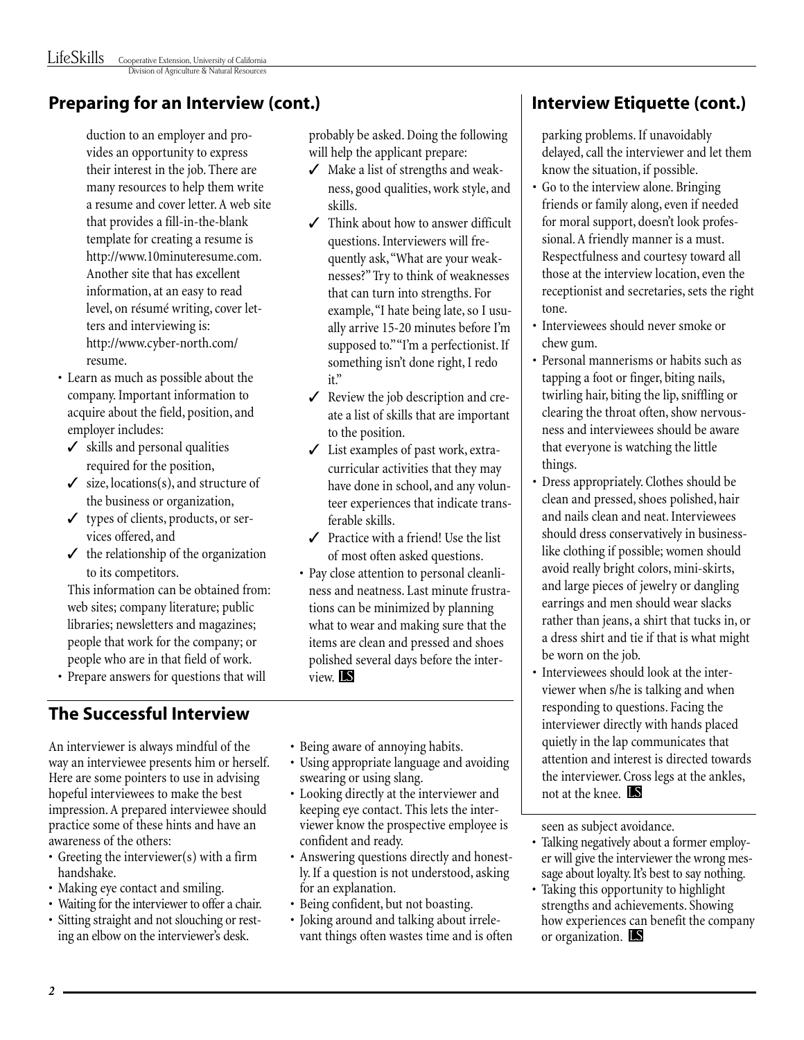## **Preparing for an Interview (cont.)**

duction to an employer and provides an opportunity to express their interest in the job. There are many resources to help them write a resume and cover letter. A web site that provides a fill-in-the-blank template for creating a resume is http://www.10minuteresume.com. Another site that has excellent information, at an easy to read level, on résumé writing, cover letters and interviewing is: http://www.cyber-north.com/ resume.

- Learn as much as possible about the company. Important information to acquire about the field, position, and employer includes:
	- ✓ skills and personal qualities required for the position,
	- $\checkmark$  size, locations(s), and structure of the business or organization,
	- ✓ types of clients, products, or services offered, and
	- $\checkmark$  the relationship of the organization to its competitors.

This information can be obtained from: web sites; company literature; public libraries; newsletters and magazines; people that work for the company; or people who are in that field of work.

• Prepare answers for questions that will

## **The Successful Interview**

An interviewer is always mindful of the way an interviewee presents him or herself. Here are some pointers to use in advising hopeful interviewees to make the best impression. A prepared interviewee should practice some of these hints and have an awareness of the others:

- Greeting the interviewer(s) with a firm handshake.
- Making eye contact and smiling.
- Waiting for the interviewer to offer a chair.
- Sitting straight and not slouching or resting an elbow on the interviewer's desk.

probably be asked. Doing the following will help the applicant prepare:

- ✓ Make a list of strengths and weakness, good qualities, work style, and skills.
- ✓ Think about how to answer difficult questions. Interviewers will frequently ask,"What are your weaknesses?" Try to think of weaknesses that can turn into strengths. For example,"I hate being late, so I usually arrive 15-20 minutes before I'm supposed to." "I'm a perfectionist. If something isn't done right, I redo it"
- ✓ Review the job description and create a list of skills that are important to the position.
- ✓ List examples of past work, extracurricular activities that they may have done in school, and any volunteer experiences that indicate transferable skills.
- $\checkmark$  Practice with a friend! Use the list of most often asked questions.
- Pay close attention to personal cleanliness and neatness. Last minute frustrations can be minimized by planning what to wear and making sure that the items are clean and pressed and shoes polished several days before the interview LS
- Being aware of annoying habits.
- Using appropriate language and avoiding swearing or using slang.
- Looking directly at the interviewer and keeping eye contact. This lets the interviewer know the prospective employee is confident and ready.
- Answering questions directly and honestly. If a question is not understood, asking for an explanation.
- Being confident, but not boasting.
- Joking around and talking about irrelevant things often wastes time and is often

## **Interview Etiquette (cont.)**

parking problems. If unavoidably delayed, call the interviewer and let them know the situation, if possible.

- Go to the interview alone. Bringing friends or family along, even if needed for moral support, doesn't look professional. A friendly manner is a must. Respectfulness and courtesy toward all those at the interview location, even the receptionist and secretaries, sets the right tone.
- Interviewees should never smoke or chew gum.
- Personal mannerisms or habits such as tapping a foot or finger, biting nails, twirling hair, biting the lip, sniffling or clearing the throat often, show nervousness and interviewees should be aware that everyone is watching the little things.
- Dress appropriately. Clothes should be clean and pressed, shoes polished, hair and nails clean and neat. Interviewees should dress conservatively in businesslike clothing if possible; women should avoid really bright colors, mini-skirts, and large pieces of jewelry or dangling earrings and men should wear slacks rather than jeans, a shirt that tucks in, or a dress shirt and tie if that is what might be worn on the job.
- Interviewees should look at the interviewer when s/he is talking and when responding to questions. Facing the interviewer directly with hands placed quietly in the lap communicates that attention and interest is directed towards the interviewer. Cross legs at the ankles, not at the knee.

seen as subject avoidance.

- Talking negatively about a former employer will give the interviewer the wrong message about loyalty. It's best to say nothing.
- Taking this opportunity to highlight strengths and achievements. Showing how experiences can benefit the company or organization. **IS**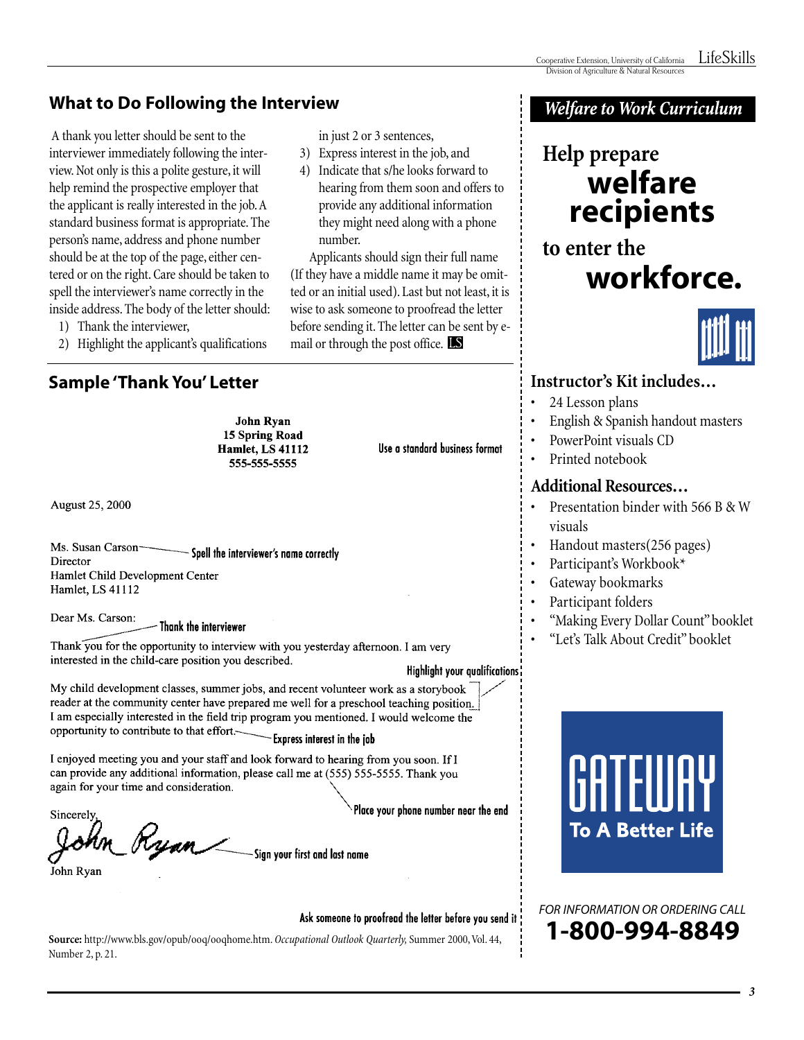## **What to Do Following the Interview**

A thank you letter should be sent to the interviewer immediately following the interview. Not only is this a polite gesture, it will help remind the prospective employer that the applicant is really interested in the job.A standard business format is appropriate. The person's name, address and phone number should be at the top of the page, either centered or on the right. Care should be taken to spell the interviewer's name correctly in the inside address. The body of the letter should:

- 1) Thank the interviewer,
- 2) Highlight the applicant's qualifications

**Sample 'Thank You' Letter**

**John Ryan** 15 Spring Road **Hamlet, LS 41112** 555-555-5555

August 25, 2000

Ms. Susan Carson-Spell the interviewer's name correctly Director Hamlet Child Development Center Hamlet, LS 41112

Dear Ms. Carson: Thank the interviewer

Thank you for the opportunity to interview with you yesterday afternoon. I am very interested in the child-care position you described.

#### Highlight your qualifications!

Use a standard business format

My child development classes, summer jobs, and recent volunteer work as a storybook reader at the community center have prepared me well for a preschool teaching position. I am especially interested in the field trip program you mentioned. I would welcome the opportunity to contribute to that effort.

-Express interest in the job

in just 2 or 3 sentences, 3) Express interest in the job, and 4) Indicate that s/he looks forward to hearing from them soon and offers to provide any additional information they might need along with a phone

mail or through the post office.

Applicants should sign their full name (If they have a middle name it may be omitted or an initial used). Last but not least, it is wise to ask someone to proofread the letter before sending it. The letter can be sent by e-

number.

I enjoyed meeting you and your staff and look forward to hearing from you soon. If I can provide any additional information, please call me at (555) 555-5555. Thank you again for your time and consideration.

Place your phone number near the end

Sincerely Ryan -Sign your first and last name

John Rvan

#### Ask someone to proofread the letter before you send it

**Source:** http://www.bls.gov/opub/ooq/ooqhome.htm. *Occupational Outlook Quarterly,* Summer 2000, Vol. 44, Number 2, p. 21.

### **Welfare to Work Curriculum**

## **Help prepare welfare recipients**

**to enter the workforce.**



#### **Instructor's Kit includes…**

- 24 Lesson plans
- English & Spanish handout masters
- PowerPoint visuals CD
- Printed notebook

#### **Additional Resources…**

- Presentation binder with 566 B & W visuals
- Handout masters(256 pages)
- Participant's Workbook\*
- Gateway bookmarks
- Participant folders
- "Making Every Dollar Count" booklet
- "Let's Talk About Credit" booklet

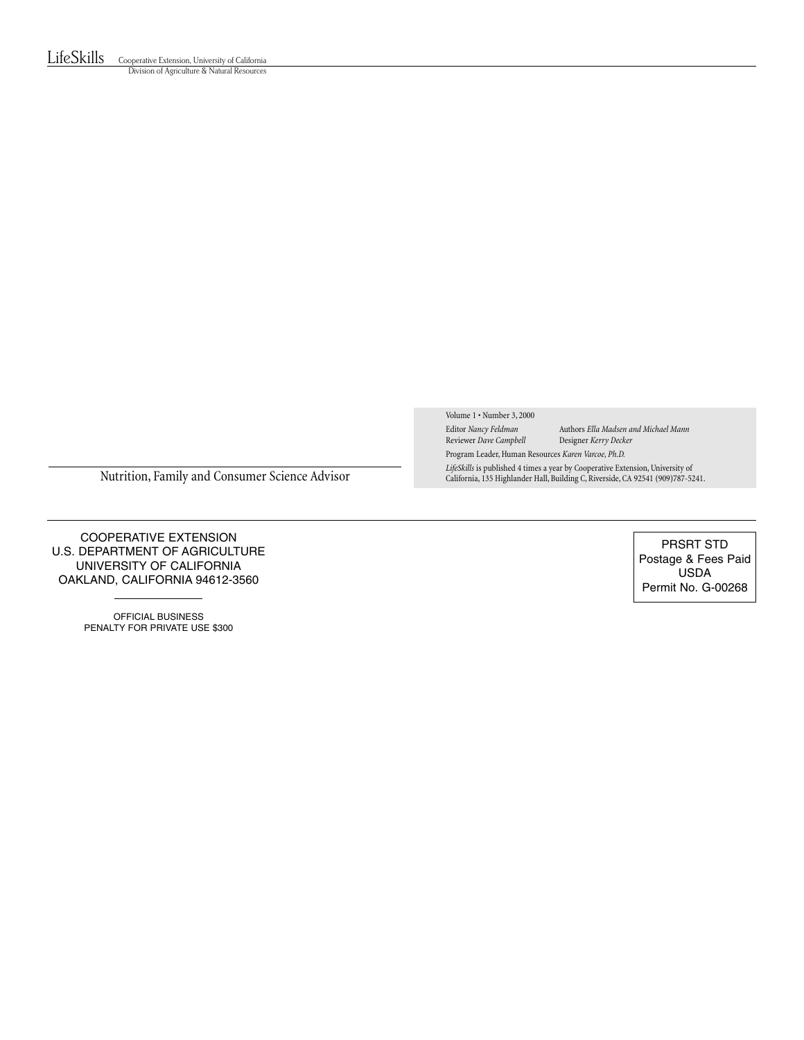LifeSkills Cooperative Extension, University of California Division of Agriculture & Natural Resources

Volume 1 • Number 3, 2000

Reviewer *Dave Campbell* 

Editor *Nancy Feldman* Authors *Ella Madsen and Michael Mann* Program Leader, Human Resources *Karen Varcoe, Ph.D.*

*LifeSkills* is published 4 times a year by Cooperative Extension, University of

Nutrition, Family and Consumer Science Advisor

COOPERATIVE EXTENSION U.S. DEPARTMENT OF AGRICULTURE UNIVERSITY OF CALIFORNIA OAKLAND, CALIFORNIA 94612-3560

> OFFICIAL BUSINESS PENALTY FOR PRIVATE USE \$300

PRSRT STD Postage & Fees Paid USDA Permit No. G-00268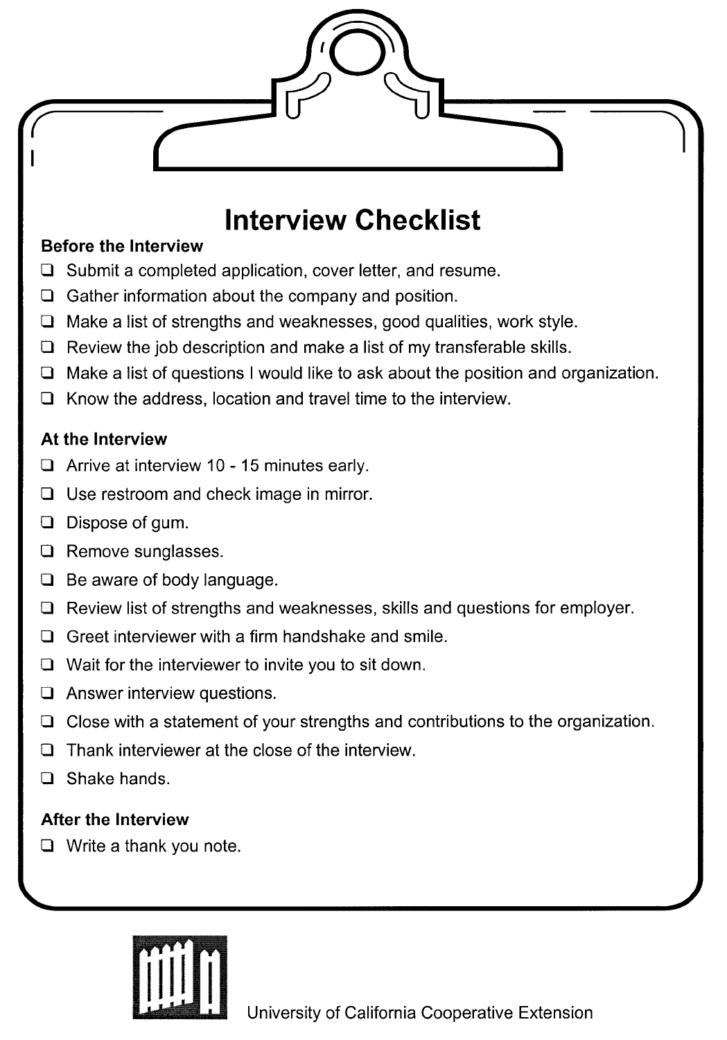## **Interview Checklist**

### **Before the Interview**

- $\Box$  Submit a completed application, cover letter, and resume.
- $\Box$  Gather information about the company and position.
- $\Box$  Make a list of strengths and weaknesses, good qualities, work style.
- $\Box$  Review the job description and make a list of my transferable skills.
- $\Box$  Make a list of questions I would like to ask about the position and organization.
- $\Box$  Know the address, location and travel time to the interview.

## At the Interview

- $\Box$  Arrive at interview 10 15 minutes early.
- $\Box$  Use restroom and check image in mirror.
- **Q** Dispose of gum.
- $\Box$  Remove sunglasses.
- **Be aware of body language.**
- $\Box$  Review list of strengths and weaknesses, skills and questions for employer.
- $\Box$  Greet interviewer with a firm handshake and smile.
- $\Box$  Wait for the interviewer to invite you to sit down.
- $\Box$  Answer interview questions.
- $\Box$  Close with a statement of your strengths and contributions to the organization.
- $\Box$  Thank interviewer at the close of the interview.
- Shake hands.  $\Box$

## **After the Interview**

 $\Box$  Write a thank you note.

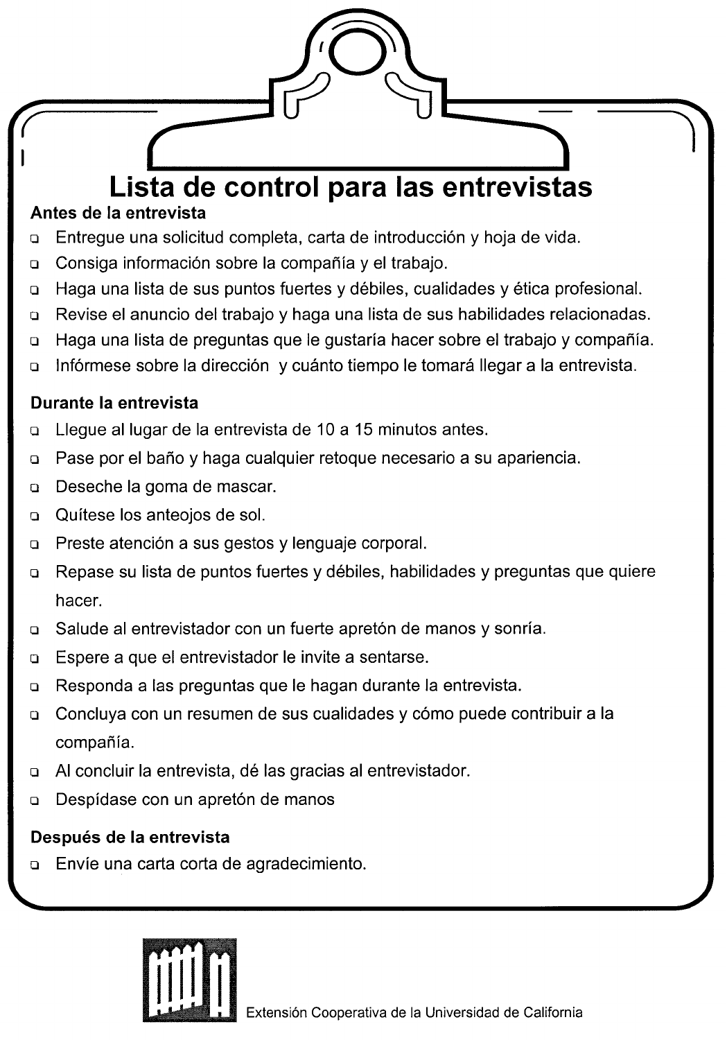# Lista de control para las entrevistas

## Antes de la entrevista

- Entregue una solicitud completa, carta de introducción y hoja de vida.  $\Box$
- Consiga información sobre la compañía y el trabajo.  $\Box$
- Haga una lista de sus puntos fuertes y débiles, cualidades y ética profesional.  $\Box$
- Revise el anuncio del trabajo y haga una lista de sus habilidades relacionadas.  $\Box$
- Haga una lista de preguntas que le gustaría hacer sobre el trabajo y compañía.  $\Box$
- Infórmese sobre la dirección y cuánto tiempo le tomará llegar a la entrevista.  $\Box$

## Durante la entrevista

- Lleque al lugar de la entrevista de 10 a 15 minutos antes.  $\Box$
- Pase por el baño y haga cualquier retoque necesario a su apariencia.  $\Box$
- Deseche la goma de mascar.  $\Box$
- Quítese los anteojos de sol.  $\Box$
- Preste atención a sus gestos y lenguaje corporal.  $\Box$
- Repase su lista de puntos fuertes y débiles, habilidades y preguntas que quiere  $\Box$ hacer.
- Salude al entrevistador con un fuerte apretón de manos y sonría.  $\Box$
- Espere a que el entrevistador le invite a sentarse.  $\Box$
- Responda a las preguntas que le hagan durante la entrevista.  $\Box$
- Concluya con un resumen de sus cualidades y cómo puede contribuir a la  $\Box$ compañía.
- Al concluir la entrevista, dé las gracias al entrevistador.  $\Box$
- Despídase con un apretón de manos  $\Box$

## Después de la entrevista

Envíe una carta corta de agradecimiento.  $\Box$ 

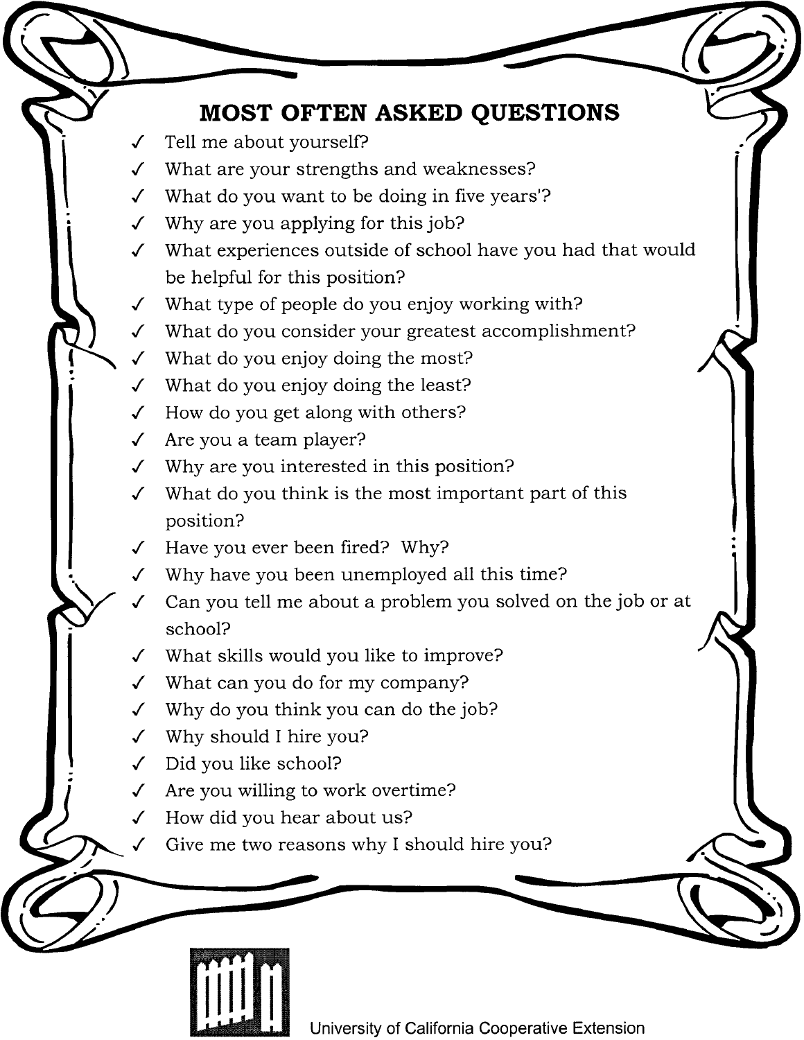## **MOST OFTEN ASKED QUESTIONS**

- Tell me about yourself?
- What are your strengths and weaknesses?  $\cal J$
- $\checkmark$  What do you want to be doing in five years'?
- $\checkmark$  Why are you applying for this job?
- √ What experiences outside of school have you had that would be helpful for this position?
- What type of people do you enjoy working with?  $\checkmark$
- What do you consider your greatest accomplishment?  $\checkmark$
- What do you enjoy doing the most?  $\mathcal{L}$
- What do you enjoy doing the least?  $\overline{\mathcal{L}}$
- $\checkmark$  How do you get along with others?
- $\checkmark$  Are you a team player?
- $\checkmark$  Why are you interested in this position?
- What do you think is the most important part of this  $\checkmark$ position?
- Have you ever been fired? Why?  $\checkmark$
- Why have you been unemployed all this time?
- Can you tell me about a problem you solved on the job or at school?
- What skills would you like to improve?  $\checkmark$
- $\checkmark$  What can you do for my company?
- $\checkmark$  Why do you think you can do the job?
- Why should I hire you?
- Did you like school?
- Are you willing to work overtime?  $\checkmark$
- How did you hear about us?  $\checkmark$ 
	- Give me two reasons why I should hire you?



University of California Cooperative Extension